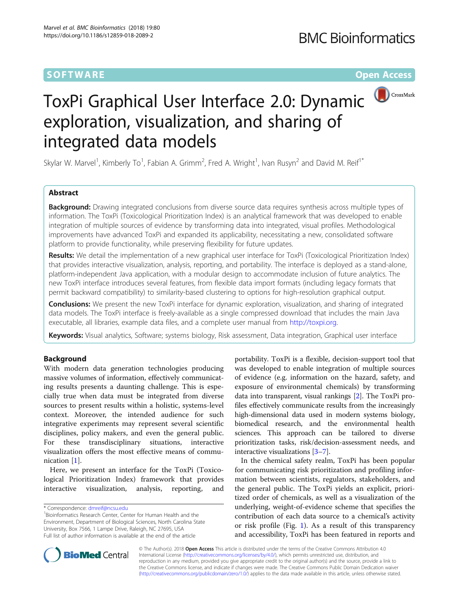## **SOFTWARE SOFTWARE** *CONSERVERSE EXECUTIVE EXECUTIVE EXECUTIVE EXECUTIVE EXECUTIVE EXECUTIVE EXECUTIVE EXECUTIVE EXECUTIVE EXECUTIVE EXECUTIVE EXECUTIVE EXECUTIVE EXECUTIVE EXECUTIVE EXECUTIVE EXECUTIVE EXECUTIVE EXECUT*



# ToxPi Graphical User Interface 2.0: Dynamic exploration, visualization, and sharing of integrated data models

Skylar W. Marvel<sup>1</sup>, Kimberly To<sup>1</sup>, Fabian A. Grimm<sup>2</sup>, Fred A. Wright<sup>1</sup>, Ivan Rusyn<sup>2</sup> and David M. Reif<sup>1\*</sup>

## Abstract

**Background:** Drawing integrated conclusions from diverse source data requires synthesis across multiple types of information. The ToxPi (Toxicological Prioritization Index) is an analytical framework that was developed to enable integration of multiple sources of evidence by transforming data into integrated, visual profiles. Methodological improvements have advanced ToxPi and expanded its applicability, necessitating a new, consolidated software platform to provide functionality, while preserving flexibility for future updates.

Results: We detail the implementation of a new graphical user interface for ToxPi (Toxicological Prioritization Index) that provides interactive visualization, analysis, reporting, and portability. The interface is deployed as a stand-alone, platform-independent Java application, with a modular design to accommodate inclusion of future analytics. The new ToxPi interface introduces several features, from flexible data import formats (including legacy formats that permit backward compatibility) to similarity-based clustering to options for high-resolution graphical output.

**Conclusions:** We present the new ToxPi interface for dynamic exploration, visualization, and sharing of integrated data models. The ToxPi interface is freely-available as a single compressed download that includes the main Java executable, all libraries, example data files, and a complete user manual from [http://toxpi.org.](http://toxpi.org)

Keywords: Visual analytics, Software; systems biology, Risk assessment, Data integration, Graphical user interface

## Background

With modern data generation technologies producing massive volumes of information, effectively communicating results presents a daunting challenge. This is especially true when data must be integrated from diverse sources to present results within a holistic, systems-level context. Moreover, the intended audience for such integrative experiments may represent several scientific disciplines, policy makers, and even the general public. For these transdisciplinary situations, interactive visualization offers the most effective means of communication [[1\]](#page-6-0).

Here, we present an interface for the ToxPi (Toxicological Prioritization Index) framework that provides interactive visualization, analysis, reporting, and

<sup>1</sup> Bioinformatics Research Center, Center for Human Health and the Environment, Department of Biological Sciences, North Carolina State University, Box 7566, 1 Lampe Drive, Raleigh, NC 27695, USA Full list of author information is available at the end of the article

portability. ToxPi is a flexible, decision-support tool that was developed to enable integration of multiple sources of evidence (e.g. information on the hazard, safety, and exposure of environmental chemicals) by transforming data into transparent, visual rankings [[2\]](#page-6-0). The ToxPi profiles effectively communicate results from the increasingly high-dimensional data used in modern systems biology, biomedical research, and the environmental health sciences. This approach can be tailored to diverse prioritization tasks, risk/decision-assessment needs, and interactive visualizations [\[3](#page-6-0)–[7\]](#page-6-0).

In the chemical safety realm, ToxPi has been popular for communicating risk prioritization and profiling information between scientists, regulators, stakeholders, and the general public. The ToxPi yields an explicit, prioritized order of chemicals, as well as a visualization of the underlying, weight-of-evidence scheme that specifies the contribution of each data source to a chemical's activity or risk profile (Fig. [1](#page-1-0)). As a result of this transparency and accessibility, ToxPi has been featured in reports and



© The Author(s). 2018 Open Access This article is distributed under the terms of the Creative Commons Attribution 4.0 International License [\(http://creativecommons.org/licenses/by/4.0/](http://creativecommons.org/licenses/by/4.0/)), which permits unrestricted use, distribution, and reproduction in any medium, provided you give appropriate credit to the original author(s) and the source, provide a link to the Creative Commons license, and indicate if changes were made. The Creative Commons Public Domain Dedication waiver [\(http://creativecommons.org/publicdomain/zero/1.0/](http://creativecommons.org/publicdomain/zero/1.0/)) applies to the data made available in this article, unless otherwise stated.

<sup>\*</sup> Correspondence: [dmreif@ncsu.edu](mailto:dmreif@ncsu.edu) <sup>1</sup>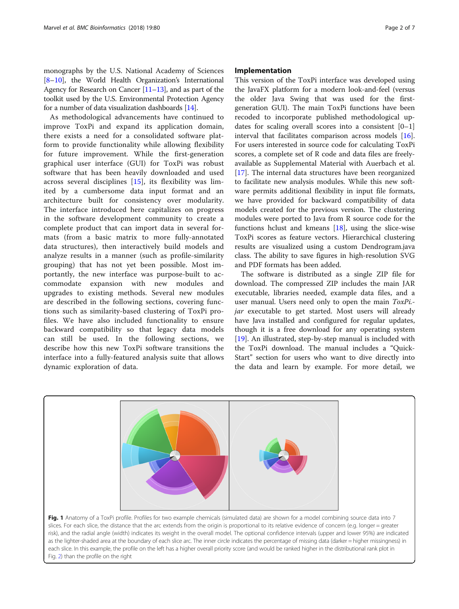<span id="page-1-0"></span>monographs by the U.S. National Academy of Sciences [[8](#page-6-0)-[10\]](#page-6-0), the World Health Organization's International Agency for Research on Cancer  $[11–13]$  $[11–13]$  $[11–13]$ , and as part of the toolkit used by the U.S. Environmental Protection Agency for a number of data visualization dashboards [\[14\]](#page-6-0).

As methodological advancements have continued to improve ToxPi and expand its application domain, there exists a need for a consolidated software platform to provide functionality while allowing flexibility for future improvement. While the first-generation graphical user interface (GUI) for ToxPi was robust software that has been heavily downloaded and used across several disciplines [\[15](#page-6-0)], its flexibility was limited by a cumbersome data input format and an architecture built for consistency over modularity. The interface introduced here capitalizes on progress in the software development community to create a complete product that can import data in several formats (from a basic matrix to more fully-annotated data structures), then interactively build models and analyze results in a manner (such as profile-similarity grouping) that has not yet been possible. Most importantly, the new interface was purpose-built to accommodate expansion with new modules and upgrades to existing methods. Several new modules are described in the following sections, covering functions such as similarity-based clustering of ToxPi profiles. We have also included functionality to ensure backward compatibility so that legacy data models can still be used. In the following sections, we describe how this new ToxPi software transitions the interface into a fully-featured analysis suite that allows dynamic exploration of data.

#### Implementation

This version of the ToxPi interface was developed using the JavaFX platform for a modern look-and-feel (versus the older Java Swing that was used for the firstgeneration GUI). The main ToxPi functions have been recoded to incorporate published methodological updates for scaling overall scores into a consistent  $[0-1]$ interval that facilitates comparison across models [\[16](#page-6-0)]. For users interested in source code for calculating ToxPi scores, a complete set of R code and data files are freelyavailable as Supplemental Material with Auerbach et al. [[17\]](#page-6-0). The internal data structures have been reorganized to facilitate new analysis modules. While this new software permits additional flexibility in input file formats, we have provided for backward compatibility of data models created for the previous version. The clustering modules were ported to Java from R source code for the functions hclust and kmeans [[18](#page-6-0)], using the slice-wise ToxPi scores as feature vectors. Hierarchical clustering results are visualized using a custom Dendrogram.java class. The ability to save figures in high-resolution SVG and PDF formats has been added.

The software is distributed as a single ZIP file for download. The compressed ZIP includes the main JAR executable, libraries needed, example data files, and a user manual. Users need only to open the main ToxPi.jar executable to get started. Most users will already have Java installed and configured for regular updates, though it is a free download for any operating system [[19\]](#page-6-0). An illustrated, step-by-step manual is included with the ToxPi download. The manual includes a "Quick-Start" section for users who want to dive directly into the data and learn by example. For more detail, we



Fig. 1 Anatomy of a ToxPi profile. Profiles for two example chemicals (simulated data) are shown for a model combining source data into 7 slices. For each slice, the distance that the arc extends from the origin is proportional to its relative evidence of concern (e.g. longer = greater risk), and the radial angle (width) indicates its weight in the overall model. The optional confidence intervals (upper and lower 95%) are indicated as the lighter-shaded area at the boundary of each slice arc. The inner circle indicates the percentage of missing data (darker = higher missingness) in each slice. In this example, the profile on the left has a higher overall priority score (and would be ranked higher in the distributional rank plot in Fig. [2](#page-3-0)) than the profile on the right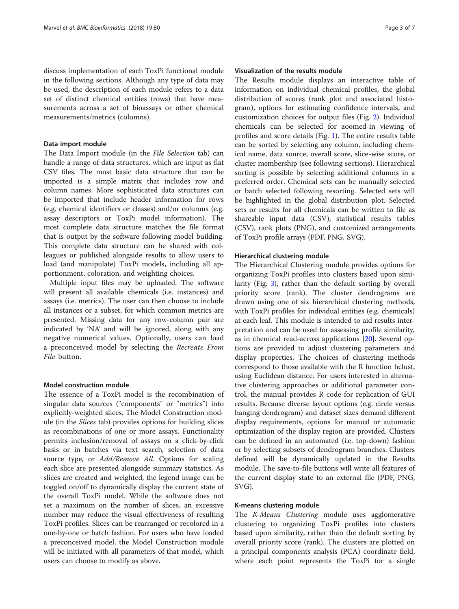discuss implementation of each ToxPi functional module in the following sections. Although any type of data may be used, the description of each module refers to a data set of distinct chemical entities (rows) that have measurements across a set of bioassays or other chemical measurements/metrics (columns).

#### Data import module

The Data Import module (in the File Selection tab) can handle a range of data structures, which are input as flat CSV files. The most basic data structure that can be imported is a simple matrix that includes row and column names. More sophisticated data structures can be imported that include header information for rows (e.g. chemical identifiers or classes) and/or columns (e.g. assay descriptors or ToxPi model information). The most complete data structure matches the file format that is output by the software following model building. This complete data structure can be shared with colleagues or published alongside results to allow users to load (and manipulate) ToxPi models, including all apportionment, coloration, and weighting choices.

Multiple input files may be uploaded. The software will present all available chemicals (i.e. instances) and assays (i.e. metrics). The user can then choose to include all instances or a subset, for which common metrics are presented. Missing data for any row-column pair are indicated by 'NA' and will be ignored, along with any negative numerical values. Optionally, users can load a preconceived model by selecting the Recreate From File button.

#### Model construction module

The essence of a ToxPi model is the recombination of singular data sources ("components" or "metrics") into explicitly-weighted slices. The Model Construction module (in the Slices tab) provides options for building slices as recombinations of one or more assays. Functionality permits inclusion/removal of assays on a click-by-click basis or in batches via text search, selection of data source type, or Add/Remove All. Options for scaling each slice are presented alongside summary statistics. As slices are created and weighted, the legend image can be toggled on/off to dynamically display the current state of the overall ToxPi model. While the software does not set a maximum on the number of slices, an excessive number may reduce the visual effectiveness of resulting ToxPi profiles. Slices can be rearranged or recolored in a one-by-one or batch fashion. For users who have loaded a preconceived model, the Model Construction module will be initiated with all parameters of that model, which users can choose to modify as above.

## Visualization of the results module

The Results module displays an interactive table of information on individual chemical profiles, the global distribution of scores (rank plot and associated histogram), options for estimating confidence intervals, and customization choices for output files (Fig. [2](#page-3-0)). Individual chemicals can be selected for zoomed-in viewing of profiles and score details (Fig. [1](#page-1-0)). The entire results table can be sorted by selecting any column, including chemical name, data source, overall score, slice-wise score, or cluster membership (see following sections). Hierarchical sorting is possible by selecting additional columns in a preferred order. Chemical sets can be manually selected or batch selected following resorting. Selected sets will be highlighted in the global distribution plot. Selected sets or results for all chemicals can be written to file as shareable input data (CSV), statistical results tables (CSV), rank plots (PNG), and customized arrangements of ToxPi profile arrays (PDF, PNG, SVG).

#### Hierarchical clustering module

The Hierarchical Clustering module provides options for organizing ToxPi profiles into clusters based upon similarity (Fig. [3](#page-4-0)), rather than the default sorting by overall priority score (rank). The cluster dendrograms are drawn using one of six hierarchical clustering methods, with ToxPi profiles for individual entities (e.g. chemicals) at each leaf. This module is intended to aid results interpretation and can be used for assessing profile similarity, as in chemical read-across applications [\[20](#page-6-0)]. Several options are provided to adjust clustering parameters and display properties. The choices of clustering methods correspond to those available with the R function hclust, using Euclidean distance. For users interested in alternative clustering approaches or additional parameter control, the manual provides R code for replication of GUI results. Because diverse layout options (e.g. circle versus hanging dendrogram) and dataset sizes demand different display requirements, options for manual or automatic optimization of the display region are provided. Clusters can be defined in an automated (i.e. top-down) fashion or by selecting subsets of dendrogram branches. Clusters defined will be dynamically updated in the Results module. The save-to-file buttons will write all features of the current display state to an external file (PDF, PNG, SVG).

#### K-means clustering module

The *K-Means Clustering* module uses agglomerative clustering to organizing ToxPi profiles into clusters based upon similarity, rather than the default sorting by overall priority score (rank). The clusters are plotted on a principal components analysis (PCA) coordinate field, where each point represents the ToxPi for a single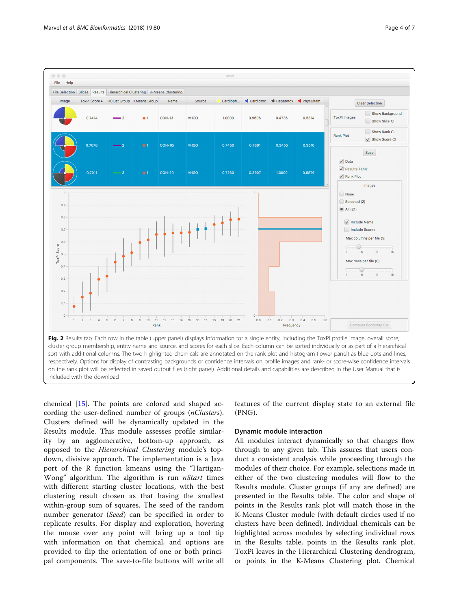<span id="page-3-0"></span>

chemical [[15\]](#page-6-0). The points are colored and shaped according the user-defined number of groups (nClusters). Clusters defined will be dynamically updated in the Results module. This module assesses profile similarity by an agglomerative, bottom-up approach, as opposed to the Hierarchical Clustering module's topdown, divisive approach. The implementation is a Java port of the R function kmeans using the "Hartigan-Wong" algorithm. The algorithm is run nStart times with different starting cluster locations, with the best clustering result chosen as that having the smallest within-group sum of squares. The seed of the random number generator (Seed) can be specified in order to replicate results. For display and exploration, hovering the mouse over any point will bring up a tool tip with information on that chemical, and options are provided to flip the orientation of one or both principal components. The save-to-file buttons will write all

features of the current display state to an external file (PNG).

### Dynamic module interaction

All modules interact dynamically so that changes flow through to any given tab. This assures that users conduct a consistent analysis while proceeding through the modules of their choice. For example, selections made in either of the two clustering modules will flow to the Results module. Cluster groups (if any are defined) are presented in the Results table. The color and shape of points in the Results rank plot will match those in the K-Means Cluster module (with default circles used if no clusters have been defined). Individual chemicals can be highlighted across modules by selecting individual rows in the Results table, points in the Results rank plot, ToxPi leaves in the Hierarchical Clustering dendrogram, or points in the K-Means Clustering plot. Chemical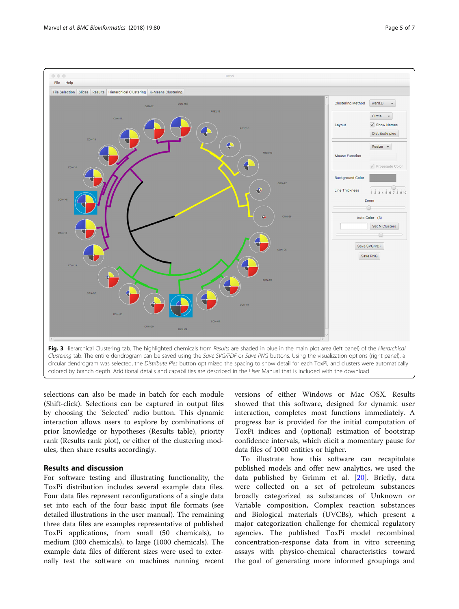<span id="page-4-0"></span>

selections can also be made in batch for each module (Shift-click). Selections can be captured in output files by choosing the 'Selected' radio button. This dynamic interaction allows users to explore by combinations of prior knowledge or hypotheses (Results table), priority rank (Results rank plot), or either of the clustering modules, then share results accordingly.

## Results and discussion

For software testing and illustrating functionality, the ToxPi distribution includes several example data files. Four data files represent reconfigurations of a single data set into each of the four basic input file formats (see detailed illustrations in the user manual). The remaining three data files are examples representative of published ToxPi applications, from small (50 chemicals), to medium (300 chemicals), to large (1000 chemicals). The example data files of different sizes were used to externally test the software on machines running recent versions of either Windows or Mac OSX. Results showed that this software, designed for dynamic user interaction, completes most functions immediately. A progress bar is provided for the initial computation of ToxPi indices and (optional) estimation of bootstrap confidence intervals, which elicit a momentary pause for data files of 1000 entities or higher.

To illustrate how this software can recapitulate published models and offer new analytics, we used the data published by Grimm et al. [[20](#page-6-0)]. Briefly, data were collected on a set of petroleum substances broadly categorized as substances of Unknown or Variable composition, Complex reaction substances and Biological materials (UVCBs), which present a major categorization challenge for chemical regulatory agencies. The published ToxPi model recombined concentration-response data from in vitro screening assays with physico-chemical characteristics toward the goal of generating more informed groupings and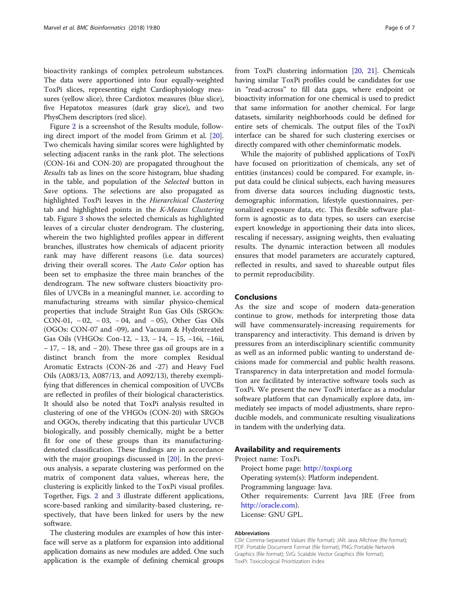bioactivity rankings of complex petroleum substances. The data were apportioned into four equally-weighted ToxPi slices, representing eight Cardiophysiology measures (yellow slice), three Cardiotox measures (blue slice), five Hepatotox measures (dark gray slice), and two PhysChem descriptors (red slice).

Figure [2](#page-3-0) is a screenshot of the Results module, following direct import of the model from Grimm et al. [\[20](#page-6-0)]. Two chemicals having similar scores were highlighted by selecting adjacent ranks in the rank plot. The selections (CON-16i and CON-20) are propagated throughout the Results tab as lines on the score histogram, blue shading in the table, and population of the Selected button in Save options. The selections are also propagated as highlighted ToxPi leaves in the Hierarchical Clustering tab and highlighted points in the K-Means Clustering tab. Figure [3](#page-4-0) shows the selected chemicals as highlighted leaves of a circular cluster dendrogram. The clustering, wherein the two highlighted profiles appear in different branches, illustrates how chemicals of adjacent priority rank may have different reasons (i.e. data sources) driving their overall scores. The Auto Color option has been set to emphasize the three main branches of the dendrogram. The new software clusters bioactivity profiles of UVCBs in a meaningful manner, i.e. according to manufacturing streams with similar physico-chemical properties that include Straight Run Gas Oils (SRGOs: CON-01,  $-02$ ,  $-03$ ,  $-04$ , and  $-05$ ), Other Gas Oils (OGOs: CON-07 and -09), and Vacuum & Hydrotreated Gas Oils (VHGOs: Con-12, − 13, − 14, − 15, −16i, −16ii, − 17, − 18, and − 20). These three gas oil groups are in a distinct branch from the more complex Residual Aromatic Extracts (CON-26 and -27) and Heavy Fuel Oils (A083/13, A087/13, and A092/13), thereby exemplifying that differences in chemical composition of UVCBs are reflected in profiles of their biological characteristics. It should also be noted that ToxPi analysis resulted in clustering of one of the VHGOs (CON-20) with SRGOs and OGOs, thereby indicating that this particular UVCB biologically, and possibly chemically, might be a better fit for one of these groups than its manufacturingdenoted classification. These findings are in accordance with the major groupings discussed in [\[20](#page-6-0)]. In the previous analysis, a separate clustering was performed on the matrix of component data values, whereas here, the clustering is explicitly linked to the ToxPi visual profiles. Together, Figs. [2](#page-3-0) and [3](#page-4-0) illustrate different applications, score-based ranking and similarity-based clustering, respectively, that have been linked for users by the new software.

The clustering modules are examples of how this interface will serve as a platform for expansion into additional application domains as new modules are added. One such application is the example of defining chemical groups from ToxPi clustering information [[20](#page-6-0), [21](#page-6-0)]. Chemicals having similar ToxPi profiles could be candidates for use in "read-across" to fill data gaps, where endpoint or bioactivity information for one chemical is used to predict that same information for another chemical. For large datasets, similarity neighborhoods could be defined for entire sets of chemicals. The output files of the ToxPi interface can be shared for such clustering exercises or directly compared with other cheminformatic models.

While the majority of published applications of ToxPi have focused on prioritization of chemicals, any set of entities (instances) could be compared. For example, input data could be clinical subjects, each having measures from diverse data sources including diagnostic tests, demographic information, lifestyle questionnaires, personalized exposure data, etc. This flexible software platform is agnostic as to data types, so users can exercise expert knowledge in apportioning their data into slices, rescaling if necessary, assigning weights, then evaluating results. The dynamic interaction between all modules ensures that model parameters are accurately captured, reflected in results, and saved to shareable output files to permit reproducibility.

## Conclusions

As the size and scope of modern data-generation continue to grow, methods for interpreting those data will have commensurately-increasing requirements for transparency and interactivity. This demand is driven by pressures from an interdisciplinary scientific community as well as an informed public wanting to understand decisions made for commercial and public health reasons. Transparency in data interpretation and model formulation are facilitated by interactive software tools such as ToxPi. We present the new ToxPi interface as a modular software platform that can dynamically explore data, immediately see impacts of model adjustments, share reproducible models, and communicate resulting visualizations in tandem with the underlying data.

## Availability and requirements

Project name: ToxPi. Project home page: <http://toxpi.org> Operating system(s): Platform independent. Programming language: Java. Other requirements: Current Java JRE (Free from [http://oracle.com](http://www.oracle.com)). License: GNU GPL.

#### Abbreviations

CSV: Comma-Separated Values (file format); JAR: Java ARchive (file format); PDF: Portable Document Format (file format); PNG: Portable Network Graphics (file format); SVG: Scalable Vector Graphics (file format); ToxPi: Toxicological Prioritization Index